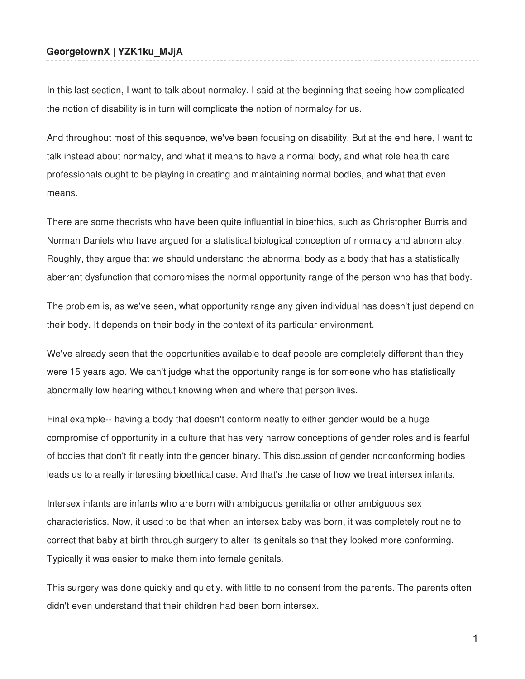## **GeorgetownX | YZK1ku\_MJjA**

In this last section, I want to talk about normalcy. I said at the beginning that seeing how complicated the notion of disability is in turn will complicate the notion of normalcy for us.

And throughout most of this sequence, we've been focusing on disability. But at the end here, I want to talk instead about normalcy, and what it means to have a normal body, and what role health care professionals ought to be playing in creating and maintaining normal bodies, and what that even means.

There are some theorists who have been quite influential in bioethics, such as Christopher Burris and Norman Daniels who have argued for a statistical biological conception of normalcy and abnormalcy. Roughly, they argue that we should understand the abnormal body as a body that has a statistically aberrant dysfunction that compromises the normal opportunity range of the person who has that body.

The problem is, as we've seen, what opportunity range any given individual has doesn't just depend on their body. It depends on their body in the context of its particular environment.

We've already seen that the opportunities available to deaf people are completely different than they were 15 years ago. We can't judge what the opportunity range is for someone who has statistically abnormally low hearing without knowing when and where that person lives.

Final example-- having a body that doesn't conform neatly to either gender would be a huge compromise of opportunity in a culture that has very narrow conceptions of gender roles and is fearful of bodies that don't fit neatly into the gender binary. This discussion of gender nonconforming bodies leads us to a really interesting bioethical case. And that's the case of how we treat intersex infants.

Intersex infants are infants who are born with ambiguous genitalia or other ambiguous sex characteristics. Now, it used to be that when an intersex baby was born, it was completely routine to correct that baby at birth through surgery to alter its genitals so that they looked more conforming. Typically it was easier to make them into female genitals.

This surgery was done quickly and quietly, with little to no consent from the parents. The parents often didn't even understand that their children had been born intersex.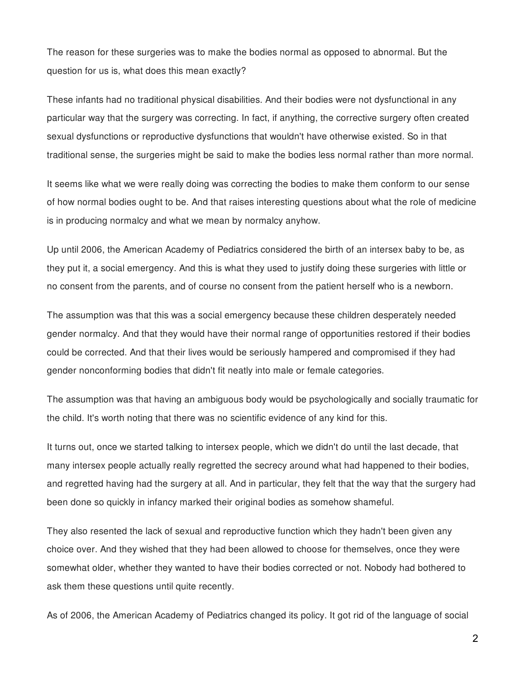The reason for these surgeries was to make the bodies normal as opposed to abnormal. But the question for us is, what does this mean exactly?

These infants had no traditional physical disabilities. And their bodies were not dysfunctional in any particular way that the surgery was correcting. In fact, if anything, the corrective surgery often created sexual dysfunctions or reproductive dysfunctions that wouldn't have otherwise existed. So in that traditional sense, the surgeries might be said to make the bodies less normal rather than more normal.

It seems like what we were really doing was correcting the bodies to make them conform to our sense of how normal bodies ought to be. And that raises interesting questions about what the role of medicine is in producing normalcy and what we mean by normalcy anyhow.

Up until 2006, the American Academy of Pediatrics considered the birth of an intersex baby to be, as they put it, a social emergency. And this is what they used to justify doing these surgeries with little or no consent from the parents, and of course no consent from the patient herself who is a newborn.

The assumption was that this was a social emergency because these children desperately needed gender normalcy. And that they would have their normal range of opportunities restored if their bodies could be corrected. And that their lives would be seriously hampered and compromised if they had gender nonconforming bodies that didn't fit neatly into male or female categories.

The assumption was that having an ambiguous body would be psychologically and socially traumatic for the child. It's worth noting that there was no scientific evidence of any kind for this.

It turns out, once we started talking to intersex people, which we didn't do until the last decade, that many intersex people actually really regretted the secrecy around what had happened to their bodies, and regretted having had the surgery at all. And in particular, they felt that the way that the surgery had been done so quickly in infancy marked their original bodies as somehow shameful.

They also resented the lack of sexual and reproductive function which they hadn't been given any choice over. And they wished that they had been allowed to choose for themselves, once they were somewhat older, whether they wanted to have their bodies corrected or not. Nobody had bothered to ask them these questions until quite recently.

As of 2006, the American Academy of Pediatrics changed its policy. It got rid of the language of social

2